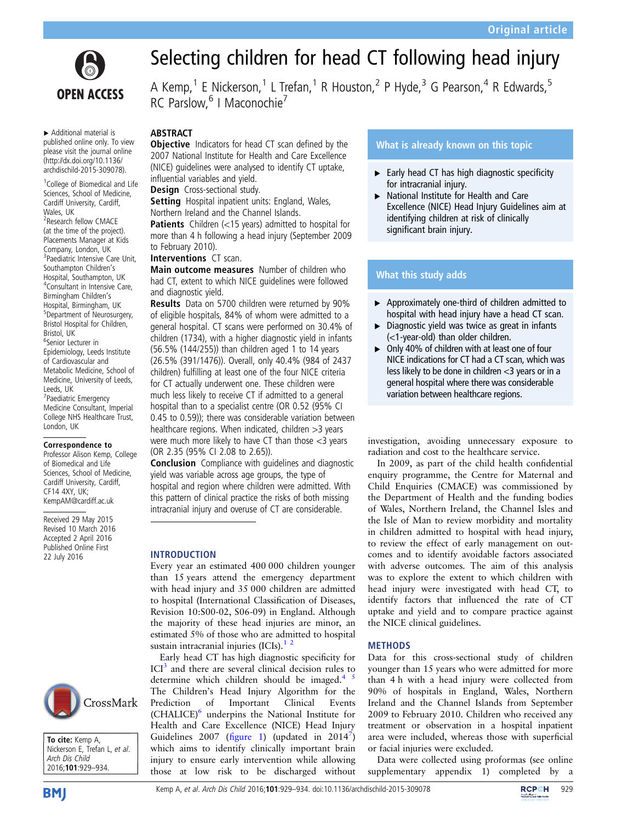

▸ Additional material is published online only. To view please visit the journal online [\(http://dx.doi.org/10.1136/](http://dx.doi.org/10.1136/archdischild-2015-309078) [archdischild-2015-309078](http://dx.doi.org/10.1136/archdischild-2015-309078)).

<sup>1</sup>College of Biomedical and Life Sciences, School of Medicine, Cardiff University, Cardiff, Wales, UK

2 Research fellow CMACE (at the time of the project). Placements Manager at Kids Company, London, UK <sup>3</sup>Paediatric Intensive Care Unit, Southampton Children's Hospital, Southampton, UK 4 Consultant in Intensive Care, Birmingham Children's Hospital, Birmingham, UK 5 Department of Neurosurgery, Bristol Hospital for Children, Bristol, UK

6 Senior Lecturer in Epidemiology, Leeds Institute of Cardiovascular and Metabolic Medicine, School of Medicine, University of Leeds, Leeds, UK 7 Paediatric Emergency Medicine Consultant, Imperial College NHS Healthcare Trust, London, UK

#### Correspondence to

Professor Alison Kemp, College of Biomedical and Life Sciences, School of Medicine, Cardiff University, Cardiff, CF14 4XY, UK; KempAM@cardiff.ac.uk

Received 29 May 2015 Revised 10 March 2016 Accepted 2 April 2016 Published Online First 22 July 2016





# Selecting children for head CT following head injury

A Kemp,<sup>1</sup> E Nickerson,<sup>1</sup> L Trefan,<sup>1</sup> R Houston,<sup>2</sup> P Hyde,<sup>3</sup> G Pearson,<sup>4</sup> R Edwards,<sup>5</sup> RC Parslow, <sup>6</sup> I Maconochie<sup>7</sup>

## **ABSTRACT**

**Objective** Indicators for head CT scan defined by the 2007 National Institute for Health and Care Excellence (NICE) guidelines were analysed to identify CT uptake, influential variables and yield.

Design Cross-sectional study.

Setting Hospital inpatient units: England, Wales, Northern Ireland and the Channel Islands.

Patients Children (<15 years) admitted to hospital for more than 4 h following a head injury (September 2009 to February 2010).

### Interventions CT scan.

Main outcome measures Number of children who had CT, extent to which NICE guidelines were followed and diagnostic yield.

Results Data on 5700 children were returned by 90% of eligible hospitals, 84% of whom were admitted to a general hospital. CT scans were performed on 30.4% of children (1734), with a higher diagnostic yield in infants (56.5% (144/255)) than children aged 1 to 14 years (26.5% (391/1476)). Overall, only 40.4% (984 of 2437 children) fulfilling at least one of the four NICE criteria for CT actually underwent one. These children were much less likely to receive CT if admitted to a general hospital than to a specialist centre (OR 0.52 (95% CI 0.45 to 0.59)); there was considerable variation between healthcare regions. When indicated, children >3 years were much more likely to have CT than those <3 years (OR 2.35 (95% CI 2.08 to 2.65)).

**Conclusion** Compliance with quidelines and diagnostic yield was variable across age groups, the type of hospital and region where children were admitted. With this pattern of clinical practice the risks of both missing intracranial injury and overuse of CT are considerable.

#### INTRODUCTION

Every year an estimated 400 000 children younger than 15 years attend the emergency department with head injury and 35 000 children are admitted to hospital (International Classification of Diseases, Revision 10:S00-02, S06-09) in England. Although the majority of these head injuries are minor, an estimated 5% of those who are admitted to hospital sustain intracranial injuries  $(ICIs).<sup>1</sup>$ 

Early head CT has high diagnostic specificity for  $\text{ICI}^3$  $\text{ICI}^3$  and there are several clinical decision rules to determine which children should be imaged. $4^{+3}$ The Children's Head Injury Algorithm for the Prediction of Important Clinical Events (CHALICE)<sup>6</sup> underpins the National Institute for Health and Care Excellence (NICE) Head Injury Guidelines 2007 (fi[gure 1](#page-1-0)) (updated in 2014<sup>[7](#page-5-0)</sup>) which aims to identify clinically important brain injury to ensure early intervention while allowing those at low risk to be discharged without

## What is already known on this topic

- $\blacktriangleright$  Early head CT has high diagnostic specificity for intracranial injury.
- ▸ National Institute for Health and Care Excellence (NICE) Head Injury Guidelines aim at identifying children at risk of clinically significant brain injury.

## What this study adds

- ▶ Approximately one-third of children admitted to hospital with head injury have a head CT scan.
- $\triangleright$  Diagnostic yield was twice as great in infants (<1-year-old) than older children.
- ▶ Only 40% of children with at least one of four NICE indications for CT had a CT scan, which was less likely to be done in children <3 years or in a general hospital where there was considerable variation between healthcare regions.

investigation, avoiding unnecessary exposure to radiation and cost to the healthcare service.

In 2009, as part of the child health confidential enquiry programme, the Centre for Maternal and Child Enquiries (CMACE) was commissioned by the Department of Health and the funding bodies of Wales, Northern Ireland, the Channel Isles and the Isle of Man to review morbidity and mortality in children admitted to hospital with head injury, to review the effect of early management on outcomes and to identify avoidable factors associated with adverse outcomes. The aim of this analysis was to explore the extent to which children with head injury were investigated with head CT, to identify factors that influenced the rate of CT uptake and yield and to compare practice against the NICE clinical guidelines.

#### **METHODS**

Data for this cross-sectional study of children younger than 15 years who were admitted for more than 4 h with a head injury were collected from 90% of hospitals in England, Wales, Northern Ireland and the Channel Islands from September 2009 to February 2010. Children who received any treatment or observation in a hospital inpatient area were included, whereas those with superficial or facial injuries were excluded.

Data were collected using proformas (see online supplementary appendix 1) completed by a

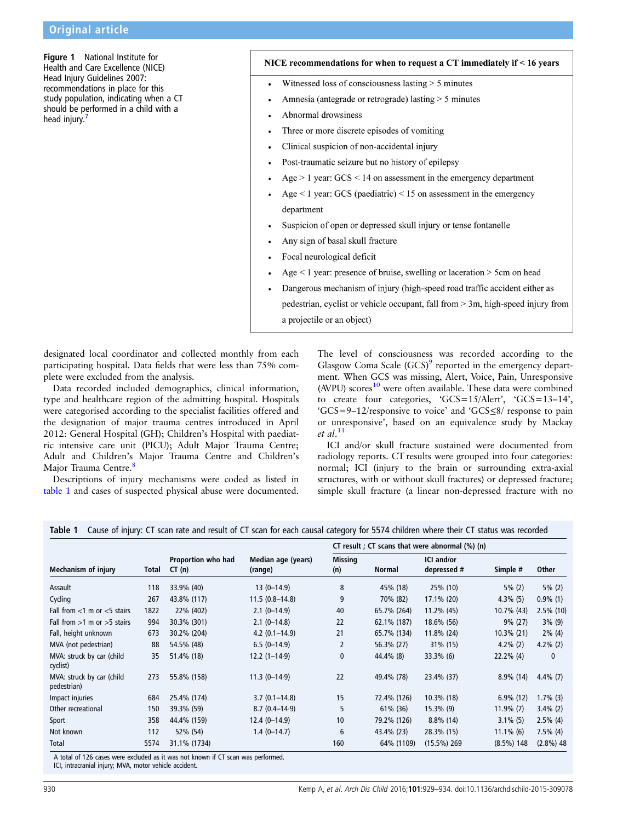<span id="page-1-0"></span>Figure 1 National Institute for Health and Care Excellence (NICE) Head Injury Guidelines 2007: recommendations in place for this study population, indicating when a CT should be performed in a child with a head injury.

#### NICE recommendations for when to request a CT immediately if  $<$  16 years

- Witnessed loss of consciousness lasting  $> 5$  minutes  $\bullet$
- Amnesia (antegrade or retrograde) lasting  $> 5$  minutes
- Abnormal drowsiness
- Three or more discrete episodes of vomiting
- Clinical suspicion of non-accidental injury
- Post-traumatic seizure but no history of epilepsy
- Age  $> 1$  year: GCS  $< 14$  on assessment in the emergency department
- Age  $\leq$  1 year: GCS (paediatric)  $\leq$  15 on assessment in the emergency department
- Suspicion of open or depressed skull injury or tense fontanelle
- Any sign of basal skull fracture
- Focal neurological deficit
- Age  $\leq$  1 year: presence of bruise, swelling or laceration  $>$  5cm on head
- Dangerous mechanism of injury (high-speed road traffic accident either as pedestrian, cyclist or vehicle occupant, fall from > 3m, high-speed injury from a projectile or an object)

designated local coordinator and collected monthly from each participating hospital. Data fields that were less than 75% complete were excluded from the analysis.

Data recorded included demographics, clinical information, type and healthcare region of the admitting hospital. Hospitals were categorised according to the specialist facilities offered and the designation of major trauma centres introduced in April 2012: General Hospital (GH); Children's Hospital with paediatric intensive care unit (PICU); Adult Major Trauma Centre; Adult and Children's Major Trauma Centre and Children's Major Trauma Centre.<sup>[8](#page-5-0)</sup>

Descriptions of injury mechanisms were coded as listed in table 1 and cases of suspected physical abuse were documented.

The level of consciousness was recorded according to the Glasgow Coma Scale  $(GCS)^9$  reported in the emergency department. When GCS was missing, Alert, Voice, Pain, Unresponsive  $(AVPU)$  scores<sup>[10](#page-5-0)</sup> were often available. These data were combined to create four categories, 'GCS=15/Alert', 'GCS=13–14', 'GCS=9–12/responsive to voice' and 'GCS≤8/ response to pain or unresponsive', based on an equivalence study by Mackay et al. [11](#page-5-0)

ICI and/or skull fracture sustained were documented from radiology reports. CT results were grouped into four categories: normal; ICI (injury to the brain or surrounding extra-axial structures, with or without skull fractures) or depressed fracture; simple skull fracture (a linear non-depressed fracture with no

|  | Table 1 Cause of injury: CT scan rate and result of CT scan for each causal category for 5574 children where their CT status was recorded |
|--|-------------------------------------------------------------------------------------------------------------------------------------------|
|  |                                                                                                                                           |

|                                          | Total | Proportion who had<br>CT(n) | Median age (years)<br>(range) | CT result ; CT scans that were abnormal $(\%)$ (n) |               |                                  |               |              |
|------------------------------------------|-------|-----------------------------|-------------------------------|----------------------------------------------------|---------------|----------------------------------|---------------|--------------|
| Mechanism of injury                      |       |                             |                               | Missing<br>(n)                                     | <b>Normal</b> | <b>ICI</b> and/or<br>depressed # | Simple #      | <b>Other</b> |
| Assault                                  | 118   | 33.9% (40)                  | $13(0-14.9)$                  | 8                                                  | 45% (18)      | 25% (10)                         | $5\%$ (2)     | $5\%$ (2)    |
| Cycling                                  | 267   | 43.8% (117)                 | $11.5(0.8-14.8)$              | 9                                                  | 70% (82)      | 17.1% (20)                       | $4.3\%$ (5)   | $0.9\%$ (1)  |
| Fall from $<$ 1 m or $<$ 5 stairs        | 1822  | 22% (402)                   | $2.1(0-14.9)$                 | 40                                                 | 65.7% (264)   | 11.2% (45)                       | 10.7% (43)    | $2.5\%$ (10) |
| Fall from $>1$ m or $>5$ stairs          | 994   | 30.3% (301)                 | $2.1(0-14.8)$                 | 22                                                 | 62.1% (187)   | 18.6% (56)                       | $9\%$ (27)    | $3\%$ (9)    |
| Fall, height unknown                     | 673   | 30.2% (204)                 | $4.2(0.1 - 14.9)$             | 21                                                 | 65.7% (134)   | 11.8% (24)                       | $10.3\%$ (21) | $2\%$ (4)    |
| MVA (not pedestrian)                     | 88    | 54.5% (48)                  | $6.5(0-14.9)$                 | $\overline{2}$                                     | 56.3% (27)    | 31% (15)                         | $4.2\%$ (2)   | $4.2\%$ (2)  |
| MVA: struck by car (child<br>cyclist)    | 35    | 51.4% (18)                  | $12.2(1-14.9)$                | $\mathbf{0}$                                       | 44.4% (8)     | 33.3% (6)                        | $22.2\%$ (4)  | 0            |
| MVA: struck by car (child<br>pedestrian) | 273   | 55.8% (158)                 | $11.3(0-14.9)$                | 22                                                 | 49.4% (78)    | 23.4% (37)                       | $8.9\%$ (14)  | $4.4\%$ (7)  |
| Impact injuries                          | 684   | 25.4% (174)                 | $3.7(0.1 - 14.8)$             | 15                                                 | 72.4% (126)   | 10.3% (18)                       | $6.9\%$ (12)  | $1.7\%$ (3)  |
| Other recreational                       | 150   | 39.3% (59)                  | $8.7(0.4 - 14.9)$             | 5                                                  | 61% (36)      | $15.3\%$ (9)                     | $11.9\%$ (7)  | $3.4\%$ (2)  |
| Sport                                    | 358   | 44.4% (159)                 | $12.4(0-14.9)$                | 10                                                 | 79.2% (126)   | $8.8\%$ (14)                     | $3.1\%$ (5)   | $2.5\%$ (4)  |
| Not known                                | 112   | 52% (54)                    | $1.4(0-14.7)$                 | 6                                                  | 43.4% (23)    | 28.3% (15)                       | $11.1\%$ (6)  | $7.5\%$ (4)  |
| Total                                    | 5574  | 31.1% (1734)                |                               | 160                                                | 64% (1109)    | $(15.5\%)$ 269                   | $(8.5\%)$ 148 | $(2.8\%)$ 48 |

A total of 126 cases were excluded as it was not known if CT scan was performed. ICI, intracranial injury; MVA, motor vehicle accident.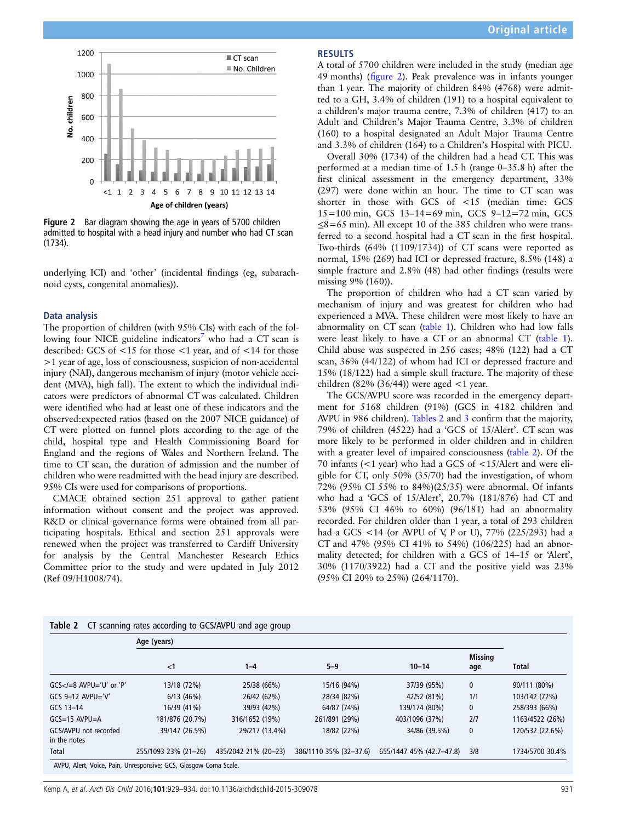

Figure 2 Bar diagram showing the age in years of 5700 children admitted to hospital with a head injury and number who had CT scan (1734).

underlying ICI) and 'other' (incidental findings (eg, subarachnoid cysts, congenital anomalies)).

#### Data analysis

The proportion of children (with 95% CIs) with each of the fol-lowing four NICE guideline indicators<sup>[7](#page-5-0)</sup> who had a CT scan is described: GCS of <15 for those <1 year, and of <14 for those >1 year of age, loss of consciousness, suspicion of non-accidental injury (NAI), dangerous mechanism of injury (motor vehicle accident (MVA), high fall). The extent to which the individual indicators were predictors of abnormal CT was calculated. Children were identified who had at least one of these indicators and the observed:expected ratios (based on the 2007 NICE guidance) of CT were plotted on funnel plots according to the age of the child, hospital type and Health Commissioning Board for England and the regions of Wales and Northern Ireland. The time to CT scan, the duration of admission and the number of children who were readmitted with the head injury are described. 95% CIs were used for comparisons of proportions.

CMACE obtained section 251 approval to gather patient information without consent and the project was approved. R&D or clinical governance forms were obtained from all participating hospitals. Ethical and section 251 approvals were renewed when the project was transferred to Cardiff University for analysis by the Central Manchester Research Ethics Committee prior to the study and were updated in July 2012 (Ref 09/H1008/74).

## RESULTS

A total of 5700 children were included in the study (median age 49 months) (figure 2). Peak prevalence was in infants younger than 1 year. The majority of children 84% (4768) were admitted to a GH, 3.4% of children (191) to a hospital equivalent to a children's major trauma centre, 7.3% of children (417) to an Adult and Children's Major Trauma Centre, 3.3% of children (160) to a hospital designated an Adult Major Trauma Centre and 3.3% of children (164) to a Children's Hospital with PICU.

Overall 30% (1734) of the children had a head CT. This was performed at a median time of 1.5 h (range 0–35.8 h) after the first clinical assessment in the emergency department, 33% (297) were done within an hour. The time to CT scan was shorter in those with GCS of <15 (median time: GCS 15=100 min, GCS 13–14=69 min, GCS 9–12=72 min, GCS  $\leq$ 8=65 min). All except 10 of the 385 children who were transferred to a second hospital had a CT scan in the first hospital. Two-thirds (64% (1109/1734)) of CT scans were reported as normal, 15% (269) had ICI or depressed fracture, 8.5% (148) a simple fracture and 2.8% (48) had other findings (results were missing 9% (160)).

The proportion of children who had a CT scan varied by mechanism of injury and was greatest for children who had experienced a MVA. These children were most likely to have an abnormality on CT scan [\(table 1](#page-1-0)). Children who had low falls were least likely to have a CT or an abnormal CT [\(table 1\)](#page-1-0). Child abuse was suspected in 256 cases; 48% (122) had a CT scan, 36% (44/122) of whom had ICI or depressed fracture and 15% (18/122) had a simple skull fracture. The majority of these children (82% (36/44)) were aged  $\lt$ 1 year.

The GCS/AVPU score was recorded in the emergency department for 5168 children (91%) (GCS in 4182 children and AVPU in 986 children). Tables 2 and [3](#page-3-0) confirm that the majority, 79% of children (4522) had a 'GCS of 15/Alert'. CT scan was more likely to be performed in older children and in children with a greater level of impaired consciousness (table 2). Of the 70 infants (<1 year) who had a GCS of <15/Alert and were eligible for CT, only 50% (35/70) had the investigation, of whom 72% (95% CI 55% to 84%)(25/35) were abnormal. Of infants who had a 'GCS of 15/Alert', 20.7% (181/876) had CT and 53% (95% CI 46% to 60%) (96/181) had an abnormality recorded. For children older than 1 year, a total of 293 children had a GCS <14 (or AVPU of V, P or U), 77% (225/293) had a CT and 47% (95% CI 41% to 54%) (106/225) had an abnormality detected; for children with a GCS of 14–15 or 'Alert', 30% (1170/3922) had a CT and the positive yield was 23% (95% CI 20% to 25%) (264/1170).

|                                       | Age (years)          |                      |                        |                          |                       |                 |  |  |
|---------------------------------------|----------------------|----------------------|------------------------|--------------------------|-----------------------|-----------------|--|--|
|                                       | $<$ 1                | $1 - 4$              | $5 - 9$                | $10 - 14$                | <b>Missing</b><br>age | <b>Total</b>    |  |  |
| $GCS < I = 8$ AVPU='U' or 'P'         | 13/18 (72%)          | 25/38 (66%)          | 15/16 (94%)            | 37/39 (95%)              | $\mathbf{0}$          | 90/111 (80%)    |  |  |
| GCS $9-12$ AVPU='V'                   | 6/13(46%)            | 26/42 (62%)          | 28/34 (82%)            | 42/52 (81%)              | 1/1                   | 103/142 (72%)   |  |  |
| GCS 13-14                             | 16/39 (41%)          | 39/93 (42%)          | 64/87 (74%)            | 139/174 (80%)            | 0                     | 258/393 (66%)   |  |  |
| $GCS=15$ AVPU $=A$                    | 181/876 (20.7%)      | 316/1652 (19%)       | 261/891 (29%)          | 403/1096 (37%)           | 2/7                   | 1163/4522 (26%) |  |  |
| GCS/AVPU not recorded<br>in the notes | 39/147 (26.5%)       | 29/217 (13.4%)       | 18/82 (22%)            | 34/86 (39.5%)            | 0                     | 120/532 (22.6%) |  |  |
| Total                                 | 255/1093 23% (21-26) | 435/2042 21% (20-23) | 386/1110 35% (32-37.6) | 655/1447 45% (42.7-47.8) | 3/8                   | 1734/5700 30.4% |  |  |

AVPU, Alert, Voice, Pain, Unresponsive; GCS, Glasgow Coma Scale.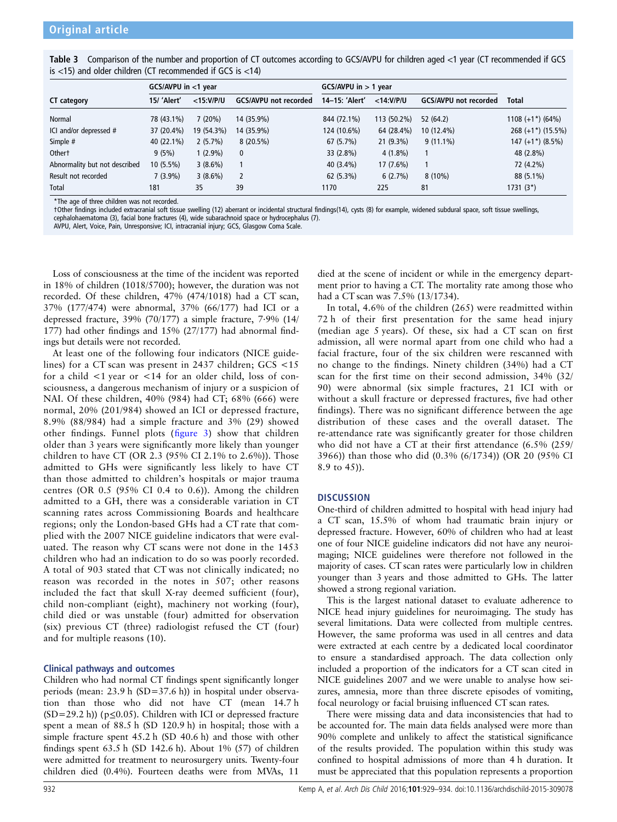<span id="page-3-0"></span>

| Table 3 Comparison of the number and proportion of CT outcomes according to GCS/AVPU for children aged <1 year (CT recommended if GCS |  |  |
|---------------------------------------------------------------------------------------------------------------------------------------|--|--|
| is $<$ 15) and older children (CT recommended if GCS is $<$ 14)                                                                       |  |  |

|                               | GCS/AVPU in <1 year |              |                              | $GCS/AVPU$ in $> 1$ year |              |                              |                       |
|-------------------------------|---------------------|--------------|------------------------------|--------------------------|--------------|------------------------------|-----------------------|
| CT category                   | 15/ 'Alert'         | $<$ 15:V/P/U | <b>GCS/AVPU not recorded</b> | 14-15: 'Alert'           | $<$ 14:V/P/U | <b>GCS/AVPU not recorded</b> | <b>Total</b>          |
| Normal                        | 78 (43.1%)          | 7(20%)       | 14 (35.9%)                   | 844 (72.1%)              | 113 (50.2%)  | 52 (64.2)                    | $1108 (+1^*) (64%)$   |
| ICI and/or depressed #        | 37 (20.4%)          | 19 (54.3%)   | 14 (35.9%)                   | 124 (10.6%)              | 64 (28.4%)   | 10 (12.4%)                   | $268 (+1^*) (15.5\%)$ |
| Simple #                      | 40 (22.1%)          | $2(5.7\%)$   | 8(20.5%)                     | 67 (5.7%)                | $21(9.3\%)$  | $9(11.1\%)$                  | $147 (+1*) (8.5%)$    |
| <b>Othert</b>                 | 9(5%)               | $1(2.9\%)$   | $\mathbf{0}$                 | 33 (2.8%)                | $4(1.8\%)$   |                              | 48 (2.8%)             |
| Abnormality but not described | $10(5.5\%)$         | $3(8.6\%)$   |                              | 40 (3.4%)                | $17(7.6\%)$  |                              | 72 (4.2%)             |
| Result not recorded           | $7(3.9\%)$          | $3(8.6\%)$   | $\overline{2}$               | 62(5.3%)                 | $6(2.7\%)$   | $8(10\%)$                    | 88 (5.1%)             |
| Total                         | 181                 | 35           | 39                           | 1170                     | 225          | 81                           | $1731(3^*)$           |

\*The age of three children was not recorded.

†Other findings included extracranial soft tissue swelling (12) aberrant or incidental structural findings(14), cysts (8) for example, widened subdural space, soft tissue swellings, cephalohaematoma (3), facial bone fractures (4), wide subarachnoid space or hydrocephalus (7).

AVPU, Alert, Voice, Pain, Unresponsive; ICI, intracranial injury; GCS, Glasgow Coma Scale.

Loss of consciousness at the time of the incident was reported in 18% of children (1018/5700); however, the duration was not recorded. Of these children, 47% (474/1018) had a CT scan, 37% (177/474) were abnormal, 37% (66/177) had ICI or a depressed fracture, 39% (70/177) a simple fracture, 7·9% (14/ 177) had other findings and 15% (27/177) had abnormal findings but details were not recorded.

At least one of the following four indicators (NICE guidelines) for a CT scan was present in 2437 children; GCS <15 for a child <1 year or <14 for an older child, loss of consciousness, a dangerous mechanism of injury or a suspicion of NAI. Of these children, 40% (984) had CT; 68% (666) were normal, 20% (201/984) showed an ICI or depressed fracture, 8.9% (88/984) had a simple fracture and 3% (29) showed other findings. Funnel plots (fi[gure 3](#page-4-0)) show that children older than 3 years were significantly more likely than younger children to have CT (OR 2.3 (95% CI 2.1% to 2.6%)). Those admitted to GHs were significantly less likely to have CT than those admitted to children's hospitals or major trauma centres (OR 0.5 (95% CI 0.4 to 0.6)). Among the children admitted to a GH, there was a considerable variation in CT scanning rates across Commissioning Boards and healthcare regions; only the London-based GHs had a CT rate that complied with the 2007 NICE guideline indicators that were evaluated. The reason why CT scans were not done in the 1453 children who had an indication to do so was poorly recorded. A total of 903 stated that CT was not clinically indicated; no reason was recorded in the notes in 507; other reasons included the fact that skull X-ray deemed sufficient (four), child non-compliant (eight), machinery not working (four), child died or was unstable (four) admitted for observation  $(six)$  previous CT (three) radiologist refused the CT (four) and for multiple reasons (10).

## Clinical pathways and outcomes

Children who had normal CT findings spent significantly longer periods (mean: 23.9 h (SD=37.6 h)) in hospital under observation than those who did not have CT (mean 14.7 h  $(SD=29.2 h)$  (p $\leq 0.05$ ). Children with ICI or depressed fracture spent a mean of 88.5 h (SD 120.9 h) in hospital; those with a simple fracture spent 45.2 h (SD 40.6 h) and those with other findings spent 63.5 h (SD 142.6 h). About 1% (57) of children were admitted for treatment to neurosurgery units. Twenty-four children died (0.4%). Fourteen deaths were from MVAs, 11

died at the scene of incident or while in the emergency department prior to having a CT. The mortality rate among those who had a CT scan was 7.5% (13/1734).

In total, 4.6% of the children (265) were readmitted within 72 h of their first presentation for the same head injury (median age 5 years). Of these, six had a CT scan on first admission, all were normal apart from one child who had a facial fracture, four of the six children were rescanned with no change to the findings. Ninety children (34%) had a CT scan for the first time on their second admission, 34% (32/ 90) were abnormal (six simple fractures, 21 ICI with or without a skull fracture or depressed fractures, five had other findings). There was no significant difference between the age distribution of these cases and the overall dataset. The re-attendance rate was significantly greater for those children who did not have a CT at their first attendance (6.5% (259/ 3966)) than those who did (0.3% (6/1734)) (OR 20 (95% CI 8.9 to 45)).

## **DISCUSSION**

One-third of children admitted to hospital with head injury had a CT scan, 15.5% of whom had traumatic brain injury or depressed fracture. However, 60% of children who had at least one of four NICE guideline indicators did not have any neuroimaging; NICE guidelines were therefore not followed in the majority of cases. CT scan rates were particularly low in children younger than 3 years and those admitted to GHs. The latter showed a strong regional variation.

This is the largest national dataset to evaluate adherence to NICE head injury guidelines for neuroimaging. The study has several limitations. Data were collected from multiple centres. However, the same proforma was used in all centres and data were extracted at each centre by a dedicated local coordinator to ensure a standardised approach. The data collection only included a proportion of the indicators for a CT scan cited in NICE guidelines 2007 and we were unable to analyse how seizures, amnesia, more than three discrete episodes of vomiting, focal neurology or facial bruising influenced CT scan rates.

There were missing data and data inconsistencies that had to be accounted for. The main data fields analysed were more than 90% complete and unlikely to affect the statistical significance of the results provided. The population within this study was confined to hospital admissions of more than 4 h duration. It must be appreciated that this population represents a proportion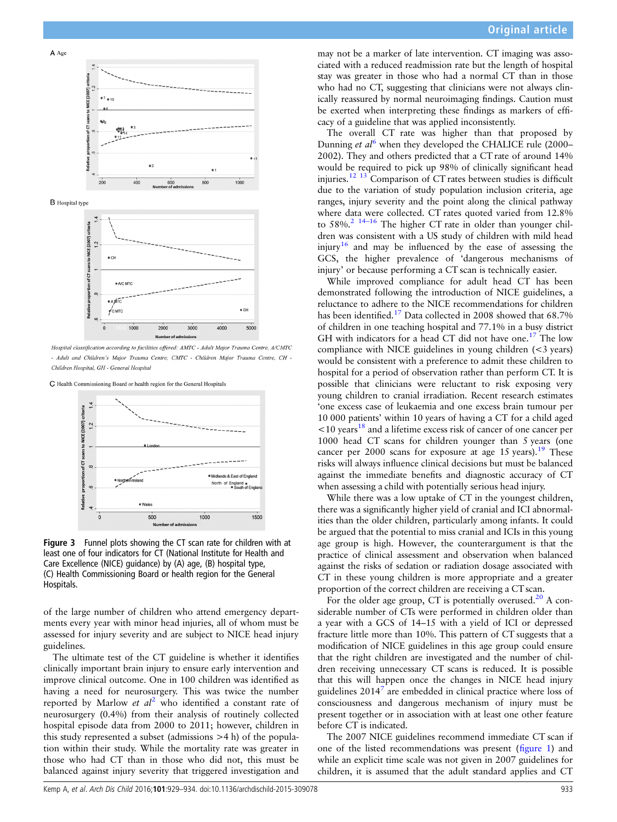<span id="page-4-0"></span>

**B** Hospital type



Hospital classification according to facilities offered: AMTC - Adult Major Trauma Centre, A/CMTC - Adult and Children's Maior Trauma Centre. CMTC - Children Maior Trauma Centre. CH -Children Hospital, GH - General Hospital

C Health Commissioning Board or health region for the General Hospitals



Figure 3 Funnel plots showing the CT scan rate for children with at least one of four indicators for CT (National Institute for Health and Care Excellence (NICE) guidance) by (A) age, (B) hospital type, (C) Health Commissioning Board or health region for the General Hospitals.

of the large number of children who attend emergency departments every year with minor head injuries, all of whom must be assessed for injury severity and are subject to NICE head injury guidelines.

The ultimate test of the CT guideline is whether it identifies clinically important brain injury to ensure early intervention and improve clinical outcome. One in 100 children was identified as having a need for neurosurgery. This was twice the number reported by Marlow et  $al^2$  $al^2$  who identified a constant rate of neurosurgery (0.4%) from their analysis of routinely collected hospital episode data from 2000 to 2011; however, children in this study represented a subset (admissions >4 h) of the population within their study. While the mortality rate was greater in those who had CT than in those who did not, this must be balanced against injury severity that triggered investigation and

may not be a marker of late intervention. CT imaging was associated with a reduced readmission rate but the length of hospital stay was greater in those who had a normal CT than in those who had no CT, suggesting that clinicians were not always clinically reassured by normal neuroimaging findings. Caution must be exerted when interpreting these findings as markers of efficacy of a guideline that was applied inconsistently.

The overall CT rate was higher than that proposed by Dunning et  $al^6$  $al^6$  when they developed the CHALICE rule (2000– 2002). They and others predicted that a CT rate of around 14% would be required to pick up 98% of clinically significant head injuries.<sup>[12 13](#page-5-0)</sup> Comparison of CT rates between studies is difficult due to the variation of study population inclusion criteria, age ranges, injury severity and the point along the clinical pathway where data were collected. CT rates quoted varied from 12.8% to 58%.<sup>2</sup> <sup>14–16</sup> The higher CT rate in older than younger children was consistent with a US study of children with mild head injury<sup>[16](#page-5-0)</sup> and may be influenced by the ease of assessing the GCS, the higher prevalence of 'dangerous mechanisms of injury' or because performing a CT scan is technically easier.

While improved compliance for adult head CT has been demonstrated following the introduction of NICE guidelines, a reluctance to adhere to the NICE recommendations for children has been identified.<sup>[17](#page-5-0)</sup> Data collected in 2008 showed that 68.7% of children in one teaching hospital and 77.1% in a busy district GH with indicators for a head CT did not have one.<sup>[17](#page-5-0)</sup> The low compliance with NICE guidelines in young children (<3 years) would be consistent with a preference to admit these children to hospital for a period of observation rather than perform CT. It is possible that clinicians were reluctant to risk exposing very young children to cranial irradiation. Recent research estimates 'one excess case of leukaemia and one excess brain tumour per 10 000 patients' within 10 years of having a CT for a child aged  $\leq$ 10 years<sup>[18](#page-5-0)</sup> and a lifetime excess risk of cancer of one cancer per 1000 head CT scans for children younger than 5 years (one cancer per 2000 scans for exposure at age 15 years).<sup>19</sup> These risks will always influence clinical decisions but must be balanced against the immediate benefits and diagnostic accuracy of CT when assessing a child with potentially serious head injury.

While there was a low uptake of CT in the youngest children, there was a significantly higher yield of cranial and ICI abnormalities than the older children, particularly among infants. It could be argued that the potential to miss cranial and ICIs in this young age group is high. However, the counterargument is that the practice of clinical assessment and observation when balanced against the risks of sedation or radiation dosage associated with CT in these young children is more appropriate and a greater proportion of the correct children are receiving a CT scan.

For the older age group, CT is potentially overused.<sup>20</sup> A considerable number of CTs were performed in children older than a year with a GCS of 14–15 with a yield of ICI or depressed fracture little more than 10%. This pattern of CT suggests that a modification of NICE guidelines in this age group could ensure that the right children are investigated and the number of children receiving unnecessary CT scans is reduced. It is possible that this will happen once the changes in NICE head injury guidelines 2014<sup>'</sup> are embedded in clinical practice where loss of consciousness and dangerous mechanism of injury must be present together or in association with at least one other feature before CT is indicated.

The 2007 NICE guidelines recommend immediate CT scan if one of the listed recommendations was present (fi[gure 1](#page-1-0)) and while an explicit time scale was not given in 2007 guidelines for children, it is assumed that the adult standard applies and CT